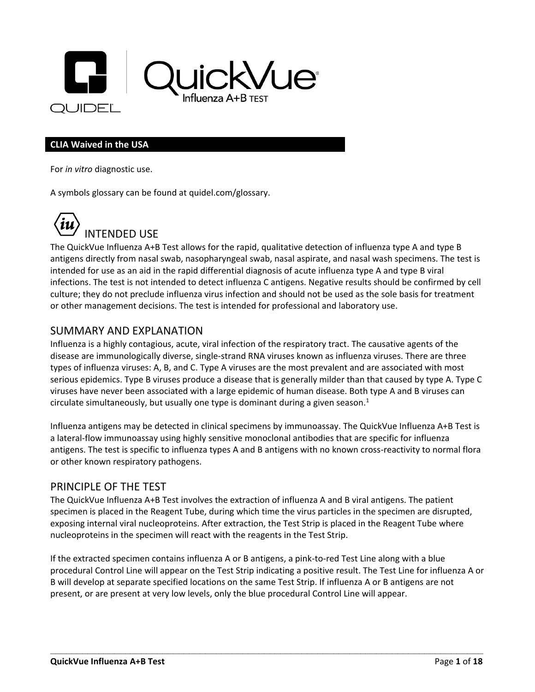

#### **CLIA Waived in the USA**

For *in vitro* diagnostic use.

A symbols glossary can be found at quidel.com/glossary.



## INTENDED USE

The QuickVue Influenza A+B Test allows for the rapid, qualitative detection of influenza type A and type B antigens directly from nasal swab, nasopharyngeal swab, nasal aspirate, and nasal wash specimens. The test is intended for use as an aid in the rapid differential diagnosis of acute influenza type A and type B viral infections. The test is not intended to detect influenza C antigens. Negative results should be confirmed by cell culture; they do not preclude influenza virus infection and should not be used as the sole basis for treatment or other management decisions. The test is intended for professional and laboratory use.

#### SUMMARY AND EXPLANATION

Influenza is a highly contagious, acute, viral infection of the respiratory tract. The causative agents of the disease are immunologically diverse, single-strand RNA viruses known as influenza viruses. There are three types of influenza viruses: A, B, and C. Type A viruses are the most prevalent and are associated with most serious epidemics. Type B viruses produce a disease that is generally milder than that caused by type A. Type C viruses have never been associated with a large epidemic of human disease. Both type A and B viruses can circulate simultaneously, but usually one type is dominant during a given season. $<sup>1</sup>$ </sup>

Influenza antigens may be detected in clinical specimens by immunoassay. The QuickVue Influenza A+B Test is a lateral-flow immunoassay using highly sensitive monoclonal antibodies that are specific for influenza antigens. The test is specific to influenza types A and B antigens with no known cross-reactivity to normal flora or other known respiratory pathogens.

#### PRINCIPLE OF THE TEST

The QuickVue Influenza A+B Test involves the extraction of influenza A and B viral antigens. The patient specimen is placed in the Reagent Tube, during which time the virus particles in the specimen are disrupted, exposing internal viral nucleoproteins. After extraction, the Test Strip is placed in the Reagent Tube where nucleoproteins in the specimen will react with the reagents in the Test Strip.

If the extracted specimen contains influenza A or B antigens, a pink-to-red Test Line along with a blue procedural Control Line will appear on the Test Strip indicating a positive result. The Test Line for influenza A or B will develop at separate specified locations on the same Test Strip. If influenza A or B antigens are not present, or are present at very low levels, only the blue procedural Control Line will appear.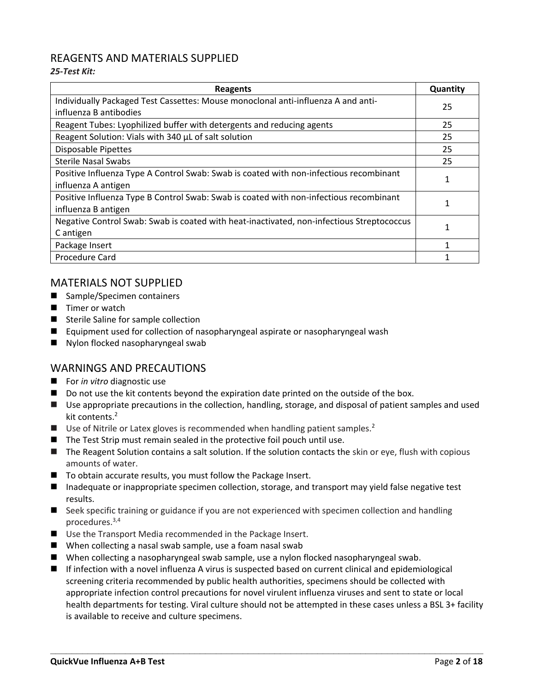#### REAGENTS AND MATERIALS SUPPLIED

#### *25-Test Kit:*

| <b>Reagents</b>                                                                           | Quantity |
|-------------------------------------------------------------------------------------------|----------|
| Individually Packaged Test Cassettes: Mouse monoclonal anti-influenza A and anti-         | 25       |
| influenza B antibodies                                                                    |          |
| Reagent Tubes: Lyophilized buffer with detergents and reducing agents                     | 25       |
| Reagent Solution: Vials with 340 µL of salt solution                                      | 25       |
| <b>Disposable Pipettes</b>                                                                | 25       |
| <b>Sterile Nasal Swabs</b>                                                                | 25       |
| Positive Influenza Type A Control Swab: Swab is coated with non-infectious recombinant    |          |
| influenza A antigen                                                                       |          |
| Positive Influenza Type B Control Swab: Swab is coated with non-infectious recombinant    |          |
| influenza B antigen                                                                       |          |
| Negative Control Swab: Swab is coated with heat-inactivated, non-infectious Streptococcus |          |
| C antigen                                                                                 |          |
| Package Insert                                                                            |          |
| Procedure Card                                                                            |          |

#### MATERIALS NOT SUPPLIED

- Sample/Specimen containers
- Timer or watch
- Sterile Saline for sample collection
- Equipment used for collection of nasopharyngeal aspirate or nasopharyngeal wash
- Nylon flocked nasopharyngeal swab

#### WARNINGS AND PRECAUTIONS

- For *in vitro* diagnostic use
- Do not use the kit contents beyond the expiration date printed on the outside of the box.
- Use appropriate precautions in the collection, handling, storage, and disposal of patient samples and used kit contents.<sup>2</sup>
- Use of Nitrile or Latex gloves is recommended when handling patient samples.<sup>2</sup>
- The Test Strip must remain sealed in the protective foil pouch until use.
- The Reagent Solution contains a salt solution. If the solution contacts the skin or eye, flush with copious amounts of water.
- To obtain accurate results, you must follow the Package Insert.
- Inadequate or inappropriate specimen collection, storage, and transport may yield false negative test results.
- Seek specific training or guidance if you are not experienced with specimen collection and handling procedures.3,4
- Use the Transport Media recommended in the Package Insert.
- When collecting a nasal swab sample, use a foam nasal swab
- When collecting a nasopharyngeal swab sample, use a nylon flocked nasopharyngeal swab.
- If infection with a novel influenza A virus is suspected based on current clinical and epidemiological screening criteria recommended by public health authorities, specimens should be collected with appropriate infection control precautions for novel virulent influenza viruses and sent to state or local health departments for testing. Viral culture should not be attempted in these cases unless a BSL 3+ facility is available to receive and culture specimens.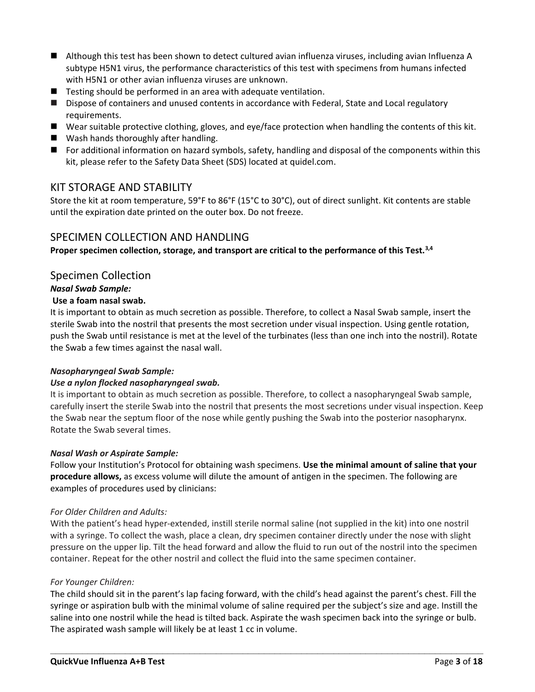- Although this test has been shown to detect cultured avian influenza viruses, including avian Influenza A subtype H5N1 virus, the performance characteristics of this test with specimens from humans infected with H5N1 or other avian influenza viruses are unknown.
- Testing should be performed in an area with adequate ventilation.
- Dispose of containers and unused contents in accordance with Federal, State and Local regulatory requirements.
- Wear suitable protective clothing, gloves, and eye/face protection when handling the contents of this kit.
- Wash hands thoroughly after handling.
- For additional information on hazard symbols, safety, handling and disposal of the components within this kit, please refer to the Safety Data Sheet (SDS) located at quidel.com.

#### KIT STORAGE AND STABILITY

Store the kit at room temperature, 59°F to 86°F (15°C to 30°C), out of direct sunlight. Kit contents are stable until the expiration date printed on the outer box. Do not freeze.

#### SPECIMEN COLLECTION AND HANDLING

**Proper specimen collection, storage, and transport are critical to the performance of this Test.3,4**

#### Specimen Collection

#### *Nasal Swab Sample:*

#### **Use a foam nasal swab.**

It is important to obtain as much secretion as possible. Therefore, to collect a Nasal Swab sample, insert the sterile Swab into the nostril that presents the most secretion under visual inspection. Using gentle rotation, push the Swab until resistance is met at the level of the turbinates (less than one inch into the nostril). Rotate the Swab a few times against the nasal wall.

#### *Nasopharyngeal Swab Sample:*

#### *Use a nylon flocked nasopharyngeal swab.*

It is important to obtain as much secretion as possible. Therefore, to collect a nasopharyngeal Swab sample, carefully insert the sterile Swab into the nostril that presents the most secretions under visual inspection. Keep the Swab near the septum floor of the nose while gently pushing the Swab into the posterior nasopharynx. Rotate the Swab several times.

#### *Nasal Wash or Aspirate Sample:*

Follow your Institution's Protocol for obtaining wash specimens. **Use the minimal amount of saline that your procedure allows,** as excess volume will dilute the amount of antigen in the specimen. The following are examples of procedures used by clinicians:

#### *For Older Children and Adults:*

With the patient's head hyper-extended, instill sterile normal saline (not supplied in the kit) into one nostril with a syringe. To collect the wash, place a clean, dry specimen container directly under the nose with slight pressure on the upper lip. Tilt the head forward and allow the fluid to run out of the nostril into the specimen container. Repeat for the other nostril and collect the fluid into the same specimen container.

#### *For Younger Children:*

The child should sit in the parent's lap facing forward, with the child's head against the parent's chest. Fill the syringe or aspiration bulb with the minimal volume of saline required per the subject's size and age. Instill the saline into one nostril while the head is tilted back. Aspirate the wash specimen back into the syringe or bulb. The aspirated wash sample will likely be at least 1 cc in volume.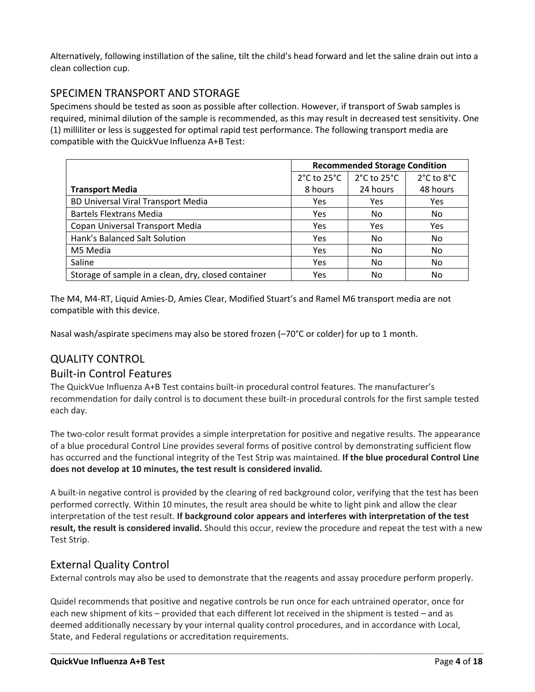Alternatively, following instillation of the saline, tilt the child's head forward and let the saline drain out into a clean collection cup.

#### SPECIMEN TRANSPORT AND STORAGE

Specimens should be tested as soon as possible after collection. However, if transport of Swab samples is required, minimal dilution of the sample is recommended, as this may result in decreased test sensitivity. One (1) milliliter or less is suggested for optimal rapid test performance. The following transport media are compatible with the QuickVue Influenza A+B Test:

|                                                     | <b>Recommended Storage Condition</b> |             |            |  |  |
|-----------------------------------------------------|--------------------------------------|-------------|------------|--|--|
|                                                     | $2^{\circ}$ C to $25^{\circ}$ C      | 2°C to 25°C | 2°C to 8°C |  |  |
| <b>Transport Media</b>                              | 8 hours                              | 24 hours    | 48 hours   |  |  |
| <b>BD Universal Viral Transport Media</b>           | <b>Yes</b>                           | Yes         | <b>Yes</b> |  |  |
| <b>Bartels Flextrans Media</b>                      | Yes                                  | No.         | No.        |  |  |
| Copan Universal Transport Media                     | Yes                                  | Yes         | <b>Yes</b> |  |  |
| Hank's Balanced Salt Solution                       | Yes                                  | No.         | No.        |  |  |
| M5 Media                                            | Yes                                  | No.         | No.        |  |  |
| Saline                                              | Yes                                  | No.         | No.        |  |  |
| Storage of sample in a clean, dry, closed container | Yes                                  | No          | No         |  |  |

The M4, M4-RT, Liquid Amies-D, Amies Clear, Modified Stuart's and Ramel M6 transport media are not compatible with this device.

Nasal wash/aspirate specimens may also be stored frozen (-70°C or colder) for up to 1 month.

#### QUALITY CONTROL

#### Built-in Control Features

The QuickVue Influenza A+B Test contains built-in procedural control features. The manufacturer's recommendation for daily control is to document these built-in procedural controls for the first sample tested each day.

The two-color result format provides a simple interpretation for positive and negative results. The appearance of a blue procedural Control Line provides several forms of positive control by demonstrating sufficient flow has occurred and the functional integrity of the Test Strip was maintained. **If the blue procedural Control Line does not develop at 10 minutes, the test result is considered invalid.**

A built-in negative control is provided by the clearing of red background color, verifying that the test has been performed correctly. Within 10 minutes, the result area should be white to light pink and allow the clear interpretation of the test result. **If background color appears and interferes with interpretation of the test result, the result is considered invalid.** Should this occur, review the procedure and repeat the test with a new Test Strip.

#### External Quality Control

External controls may also be used to demonstrate that the reagents and assay procedure perform properly.

Quidel recommends that positive and negative controls be run once for each untrained operator, once for each new shipment of kits – provided that each different lot received in the shipment is tested – and as deemed additionally necessary by your internal quality control procedures, and in accordance with Local, State, and Federal regulations or accreditation requirements.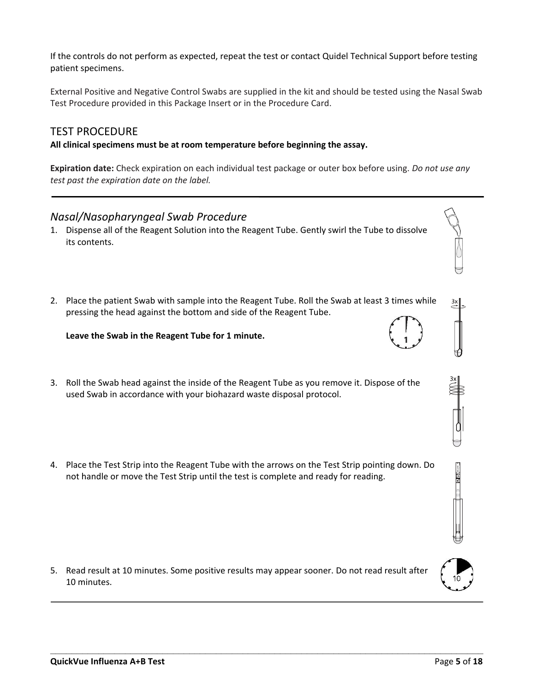If the controls do not perform as expected, repeat the test or contact Quidel Technical Support before testing patient specimens.

External Positive and Negative Control Swabs are supplied in the kit and should be tested using the Nasal Swab Test Procedure provided in this Package Insert or in the Procedure Card.

#### TEST PROCEDURE

**All clinical specimens must be at room temperature before beginning the assay.**

**Expiration date:** Check expiration on each individual test package or outer box before using. *Do not use any test past the expiration date on the label.*

#### *Nasal/Nasopharyngeal Swab Procedure*

- 1. Dispense all of the Reagent Solution into the Reagent Tube. Gently swirl the Tube to dissolve its contents.
- 2. Place the patient Swab with sample into the Reagent Tube. Roll the Swab at least 3 times while pressing the head against the bottom and side of the Reagent Tube.

#### **Leave the Swab in the Reagent Tube for 1 minute.**

- 3. Roll the Swab head against the inside of the Reagent Tube as you remove it. Dispose of the used Swab in accordance with your biohazard waste disposal protocol.
- 4. Place the Test Strip into the Reagent Tube with the arrows on the Test Strip pointing down. Do not handle or move the Test Strip until the test is complete and ready for reading.

5. Read result at 10 minutes. Some positive results may appear sooner. Do not read result after 10 minutes.





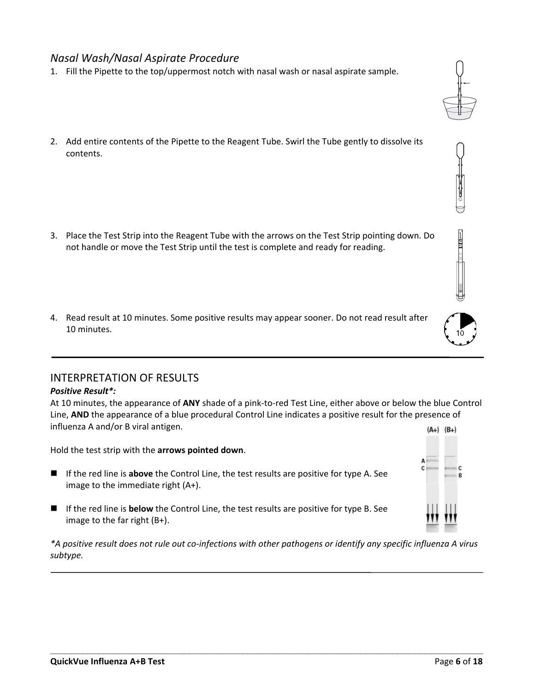#### *Nasal Wash/Nasal Aspirate Procedure*

- 1. Fill the Pipette to the top/uppermost notch with nasal wash or nasal aspirate sample.
- 2. Add entire contents of the Pipette to the Reagent Tube. Swirl the Tube gently to dissolve its contents.

- 3. Place the Test Strip into the Reagent Tube with the arrows on the Test Strip pointing down. Do not handle or move the Test Strip until the test is complete and ready for reading.
- 4. Read result at 10 minutes. Some positive results may appear sooner. Do not read result after 10 minutes.

#### INTERPRETATION OF RESULTS

#### *Positive Result\*:*

At 10 minutes, the appearance of **ANY** shade of a pink-to-red Test Line, either above or below the blue Control Line, **AND** the appearance of a blue procedural Control Line indicates a positive result for the presence of influenza A and/or B viral antigen.  $(A+) (B+)$ 

Hold the test strip with the **arrows pointed down**.

- If the red line is **above** the Control Line, the test results are positive for type A. See image to the immediate right (A+).
- If the red line is **below** the Control Line, the test results are positive for type B. See image to the far right (B+).

*\*A positive result does not rule out co-infections with other pathogens or identify any specific influenza A virus subtype.*

**\_\_\_\_\_\_\_\_\_\_\_\_\_\_\_\_\_\_\_\_\_\_\_\_\_\_\_\_\_\_\_\_\_\_\_\_\_\_\_\_\_\_\_\_\_\_\_\_\_\_\_\_\_\_\_\_\_\_\_\_\_\_\_\_\_\_\_\_\_\_\_\_\_\_\_\_\_\_\_\_\_**





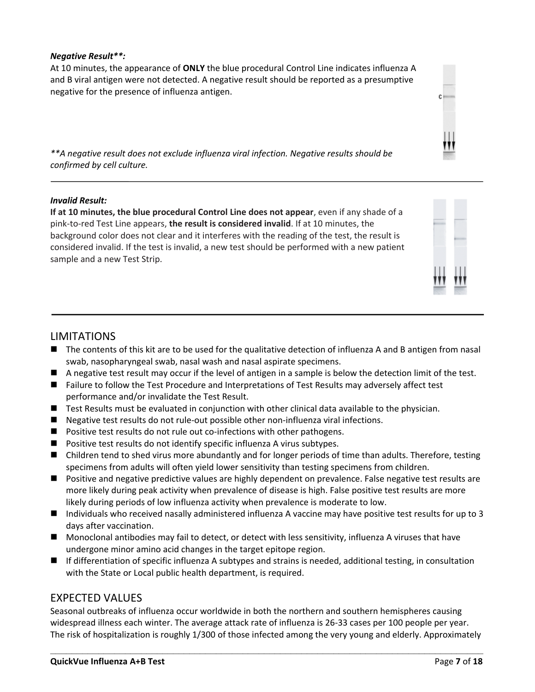#### *Negative Result\*\*:*

At 10 minutes, the appearance of **ONLY** the blue procedural Control Line indicates influenza A and B viral antigen were not detected. A negative result should be reported as a presumptive negative for the presence of influenza antigen.



*\*\*A negative result does not exclude influenza viral infection. Negative results should be confirmed by cell culture.*

#### *Invalid Result:*

**If at 10 minutes, the blue procedural Control Line does not appear**, even if any shade of a pink-to-red Test Line appears, **the result is considered invalid**. If at 10 minutes, the background color does not clear and it interferes with the reading of the test, the result is considered invalid. If the test is invalid, a new test should be performed with a new patient sample and a new Test Strip.



#### LIMITATIONS

- The contents of this kit are to be used for the qualitative detection of influenza A and B antigen from nasal swab, nasopharyngeal swab, nasal wash and nasal aspirate specimens.
- A negative test result may occur if the level of antigen in a sample is below the detection limit of the test.
- Failure to follow the Test Procedure and Interpretations of Test Results may adversely affect test performance and/or invalidate the Test Result.
- Test Results must be evaluated in conjunction with other clinical data available to the physician.
- Negative test results do not rule-out possible other non-influenza viral infections.
- Positive test results do not rule out co-infections with other pathogens.
- Positive test results do not identify specific influenza A virus subtypes.
- Children tend to shed virus more abundantly and for longer periods of time than adults. Therefore, testing specimens from adults will often yield lower sensitivity than testing specimens from children.
- Positive and negative predictive values are highly dependent on prevalence. False negative test results are more likely during peak activity when prevalence of disease is high. False positive test results are more likely during periods of low influenza activity when prevalence is moderate to low.
- Individuals who received nasally administered influenza A vaccine may have positive test results for up to 3 days after vaccination.
- Monoclonal antibodies may fail to detect, or detect with less sensitivity, influenza A viruses that have undergone minor amino acid changes in the target epitope region.
- If differentiation of specific influenza A subtypes and strains is needed, additional testing, in consultation with the State or Local public health department, is required.

#### EXPECTED VALUES

Seasonal outbreaks of influenza occur worldwide in both the northern and southern hemispheres causing widespread illness each winter. The average attack rate of influenza is 26-33 cases per 100 people per year. The risk of hospitalization is roughly 1/300 of those infected among the very young and elderly. Approximately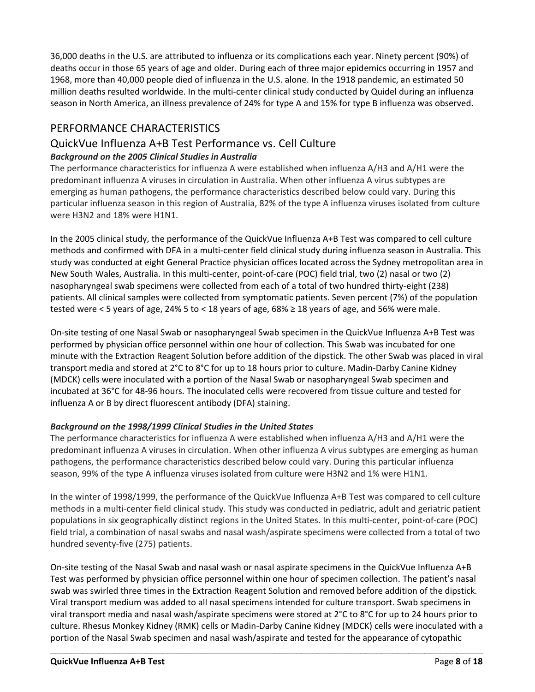36,000 deaths in the U.S. are attributed to influenza or its complications each year. Ninety percent (90%) of deaths occur in those 65 years of age and older. During each of three major epidemics occurring in 1957 and 1968, more than 40,000 people died of influenza in the U.S. alone. In the 1918 pandemic, an estimated 50 million deaths resulted worldwide. In the multi-center clinical study conducted by Quidel during an influenza season in North America, an illness prevalence of 24% for type A and 15% for type B influenza was observed.

#### PERFORMANCE CHARACTERISTICS

#### QuickVue Influenza A+B Test Performance vs. Cell Culture *Background on the 2005 Clinical Studies in Australia*

The performance characteristics for influenza A were established when influenza A/H3 and A/H1 were the predominant influenza A viruses in circulation in Australia. When other influenza A virus subtypes are emerging as human pathogens, the performance characteristics described below could vary. During this particular influenza season in this region of Australia, 82% of the type A influenza viruses isolated from culture were H3N2 and 18% were H1N1.

In the 2005 clinical study, the performance of the QuickVue Influenza A+B Test was compared to cell culture methods and confirmed with DFA in a multi-center field clinical study during influenza season in Australia. This study was conducted at eight General Practice physician offices located across the Sydney metropolitan area in New South Wales, Australia. In this multi-center, point-of-care (POC) field trial, two (2) nasal or two (2) nasopharyngeal swab specimens were collected from each of a total of two hundred thirty-eight (238) patients. All clinical samples were collected from symptomatic patients. Seven percent (7%) of the population tested were < 5 years of age, 24% 5 to < 18 years of age, 68% ≥ 18 years of age, and 56% were male.

On-site testing of one Nasal Swab or nasopharyngeal Swab specimen in the QuickVue Influenza A+B Test was performed by physician office personnel within one hour of collection. This Swab was incubated for one minute with the Extraction Reagent Solution before addition of the dipstick. The other Swab was placed in viral transport media and stored at 2°C to 8°C for up to 18 hours prior to culture. Madin-Darby Canine Kidney (MDCK) cells were inoculated with a portion of the Nasal Swab or nasopharyngeal Swab specimen and incubated at 36°C for 48-96 hours. The inoculated cells were recovered from tissue culture and tested for influenza A or B by direct fluorescent antibody (DFA) staining.

#### *Background on the 1998/1999 Clinical Studies in the United States*

The performance characteristics for influenza A were established when influenza A/H3 and A/H1 were the predominant influenza A viruses in circulation. When other influenza A virus subtypes are emerging as human pathogens, the performance characteristics described below could vary. During this particular influenza season, 99% of the type A influenza viruses isolated from culture were H3N2 and 1% were H1N1.

In the winter of 1998/1999, the performance of the QuickVue Influenza A+B Test was compared to cell culture methods in a multi-center field clinical study. This study was conducted in pediatric, adult and geriatric patient populations in six geographically distinct regions in the United States. In this multi-center, point-of-care (POC) field trial, a combination of nasal swabs and nasal wash/aspirate specimens were collected from a total of two hundred seventy-five (275) patients.

On-site testing of the Nasal Swab and nasal wash or nasal aspirate specimens in the QuickVue Influenza A+B Test was performed by physician office personnel within one hour of specimen collection. The patient's nasal swab was swirled three times in the Extraction Reagent Solution and removed before addition of the dipstick. Viral transport medium was added to all nasal specimens intended for culture transport. Swab specimens in viral transport media and nasal wash/aspirate specimens were stored at 2°C to 8°C for up to 24 hours prior to culture. Rhesus Monkey Kidney (RMK) cells or Madin-Darby Canine Kidney (MDCK) cells were inoculated with a portion of the Nasal Swab specimen and nasal wash/aspirate and tested for the appearance of cytopathic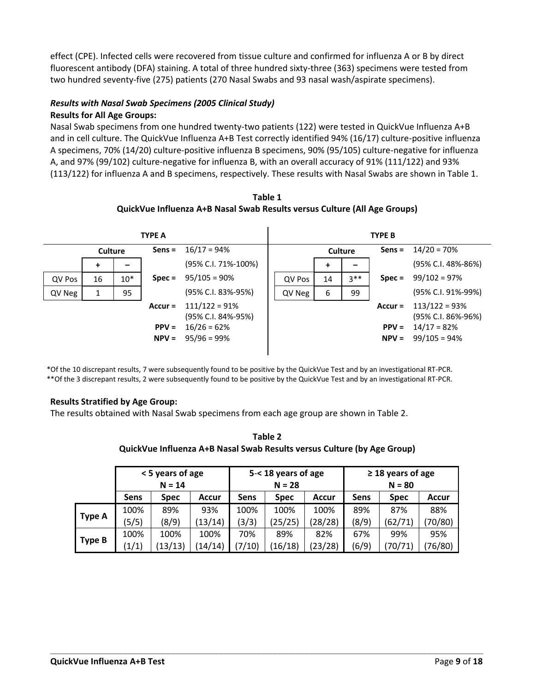effect (CPE). Infected cells were recovered from tissue culture and confirmed for influenza A or B by direct fluorescent antibody (DFA) staining. A total of three hundred sixty-three (363) specimens were tested from two hundred seventy-five (275) patients (270 Nasal Swabs and 93 nasal wash/aspirate specimens).

#### *Results with Nasal Swab Specimens (2005 Clinical Study)*

#### **Results for All Age Groups:**

Nasal Swab specimens from one hundred twenty-two patients (122) were tested in QuickVue Influenza A+B and in cell culture. The QuickVue Influenza A+B Test correctly identified 94% (16/17) culture-positive influenza A specimens, 70% (14/20) culture-positive influenza B specimens, 90% (95/105) culture-negative for influenza A, and 97% (99/102) culture-negative for influenza B, with an overall accuracy of 91% (111/122) and 93% (113/122) for influenza A and B specimens, respectively. These results with Nasal Swabs are shown in Table 1.

**Table 1 QuickVue Influenza A+B Nasal Swab Results versus Culture (All Age Groups)**

|        | <b>TYPE A</b> |       |                      |                                                        |  | <b>TYPE B</b> |                |        |                      |                                                        |
|--------|---------------|-------|----------------------|--------------------------------------------------------|--|---------------|----------------|--------|----------------------|--------------------------------------------------------|
|        | Culture       |       | $Sens =$             | $16/17 = 94\%$                                         |  |               | <b>Culture</b> |        | $Sens =$             | $14/20 = 70%$                                          |
|        | +             |       |                      | (95% C.I. 71%-100%)                                    |  |               | +              |        |                      | (95% C.I. 48%-86%)                                     |
| QV Pos | 16            | $10*$ | $Spec =$             | $95/105 = 90%$                                         |  | QV Pos        | 14             | $3***$ | $Spec =$             | $99/102 = 97%$                                         |
| QV Neg |               | 95    |                      | (95% C.I. 83%-95%)                                     |  | QV Neg        | 6              | 99     |                      | (95% C.I. 91%-99%)                                     |
|        |               |       | $Accur =$<br>$PPV =$ | $111/122 = 91%$<br>(95% C.I. 84%-95%)<br>$16/26 = 62%$ |  |               |                |        | $Accur =$<br>$PPV =$ | $113/122 = 93%$<br>(95% C.I. 86%-96%)<br>$14/17 = 82%$ |
|        |               |       | $NPV =$              | $95/96 = 99%$                                          |  |               |                |        | $NPV =$              | $99/105 = 94%$                                         |

\*Of the 10 discrepant results, 7 were subsequently found to be positive by the QuickVue Test and by an investigational RT-PCR. \*\*Of the 3 discrepant results, 2 were subsequently found to be positive by the QuickVue Test and by an investigational RT-PCR.

#### **Results Stratified by Age Group:**

The results obtained with Nasal Swab specimens from each age group are shown in Table 2.

**Table 2 QuickVue Influenza A+B Nasal Swab Results versus Culture (by Age Group)**

|               | < 5 years of age<br>$N = 14$ |             |         |       | $5 - 18$ years of age<br>$N = 28$ |         | $\geq$ 18 years of age<br>$N = 80$ |             |              |  |
|---------------|------------------------------|-------------|---------|-------|-----------------------------------|---------|------------------------------------|-------------|--------------|--|
|               | <b>Sens</b>                  | <b>Spec</b> | Accur   | Sens  | <b>Spec</b>                       | Accur   | Sens                               | <b>Spec</b> | <b>Accur</b> |  |
|               | 100%                         | 89%         | 93%     | 100%  | 100%                              | 100%    | 89%                                | 87%         | 88%          |  |
| <b>Type A</b> | (5/5)                        | (8/9)       | (13/14) | (3/3) | (25/25)                           | (28/28) | (8/9)                              | (62/71      | 70/80)       |  |
|               | 100%                         | 100%        | 100%    | 70%   | 89%                               | 82%     | 67%                                | 99%         | 95%          |  |
| <b>Type B</b> | (1/1)                        | (13/13)     | (14/14) | 7/10  | 16/18                             | (23/28) | (6/9)                              | 70/71       | 76/80)       |  |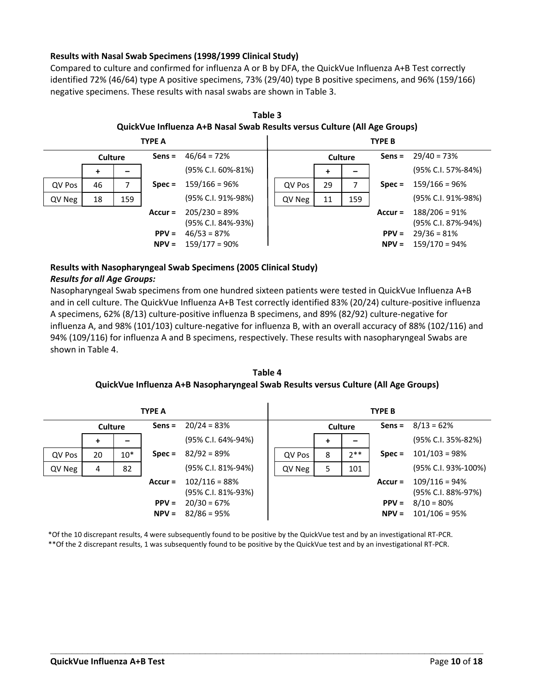#### **Results with Nasal Swab Specimens (1998/1999 Clinical Study)**

Compared to culture and confirmed for influenza A or B by DFA, the QuickVue Influenza A+B Test correctly identified 72% (46/64) type A positive specimens, 73% (29/40) type B positive specimens, and 96% (159/166) negative specimens. These results with nasal swabs are shown in Table 3.



**Table 3 QuickVue Influenza A+B Nasal Swab Results versus Culture (All Age Groups)**

#### **Results with Nasopharyngeal Swab Specimens (2005 Clinical Study)**

#### *Results for all Age Groups:*

Nasopharyngeal Swab specimens from one hundred sixteen patients were tested in QuickVue Influenza A+B and in cell culture. The QuickVue Influenza A+B Test correctly identified 83% (20/24) culture-positive influenza A specimens, 62% (8/13) culture-positive influenza B specimens, and 89% (82/92) culture-negative for influenza A, and 98% (101/103) culture-negative for influenza B, with an overall accuracy of 88% (102/116) and 94% (109/116) for influenza A and B specimens, respectively. These results with nasopharyngeal Swabs are shown in Table 4.

**Table 4 QuickVue Influenza A+B Nasopharyngeal Swab Results versus Culture (All Age Groups)**

|                | <b>TYPE A</b> |           |                                       |                                | <b>TYPE B</b> |   |           |                                       |                                  |
|----------------|---------------|-----------|---------------------------------------|--------------------------------|---------------|---|-----------|---------------------------------------|----------------------------------|
| <b>Culture</b> |               | $Sens =$  | $20/24 = 83%$                         | <b>Culture</b>                 |               |   | $Sens =$  | $8/13 = 62%$                          |                                  |
|                | +             |           |                                       | (95% C.I. 64%-94%)             |               | + | -         |                                       | (95% C.I. 35%-82%)               |
| QV Pos         | 20            | $10*$     | $Spec =$                              | $82/92 = 89%$                  | QV Pos        | 8 | $2***$    | $Spec =$                              | $101/103 = 98%$                  |
| QV Neg         | 4             | 82        |                                       | (95% C.I. 81%-94%)             | QV Neg        | 5 | 101       |                                       | (95% C.I. 93%-100%)              |
|                |               | $Accur =$ | $102/116 = 88%$<br>(95% C.I. 81%-93%) |                                |               |   | $Accur =$ | $109/116 = 94%$<br>(95% C.I. 88%-97%) |                                  |
|                |               |           | $PPV =$<br>$NPV =$                    | $20/30 = 67%$<br>$82/86 = 95%$ |               |   |           | $PPV =$<br>$NPV =$                    | $8/10 = 80\%$<br>$101/106 = 95%$ |

\*Of the 10 discrepant results, 4 were subsequently found to be positive by the QuickVue test and by an investigational RT-PCR. \*\*Of the 2 discrepant results, 1 was subsequently found to be positive by the QuickVue test and by an investigational RT-PCR.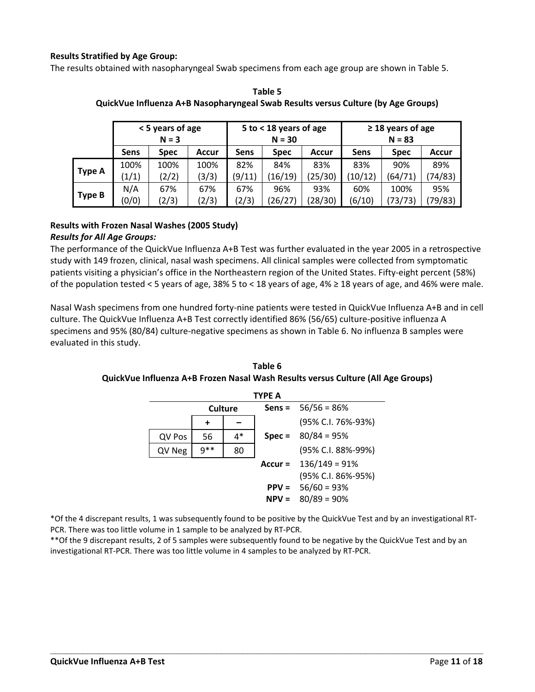#### **Results Stratified by Age Group:**

The results obtained with nasopharyngeal Swab specimens from each age group are shown in Table 5.

|               | < 5 years of age<br>$N = 3$ |                                            |       |             | 5 to $<$ 18 years of age<br>$N = 30$ |             | $\geq$ 18 years of age<br>$N = 83$ |              |         |  |
|---------------|-----------------------------|--------------------------------------------|-------|-------------|--------------------------------------|-------------|------------------------------------|--------------|---------|--|
|               | Sens                        | <b>Sens</b><br><b>Spec</b><br><b>Accur</b> |       | <b>Spec</b> | Accur                                | <b>Sens</b> | <b>Spec</b>                        | <b>Accur</b> |         |  |
|               | 100%                        | 100%                                       | 100%  | 82%         | 84%                                  | 83%         | 83%                                | 90%          | 89%     |  |
| <b>Type A</b> | (1/1)                       | (2/2)                                      | (3/3) | (9/11)      | (16/19)                              | (25/30)     | 10/12                              | (64/71)      | (74/83) |  |
|               | N/A                         | 67%                                        | 67%   | 67%         | 96%                                  | 93%         | 60%                                | 100%         | 95%     |  |
| <b>Type B</b> | (0/0)                       | (2/3)                                      | (2/3) | (2/3)       | (26/27)                              | (28/30)     | (6/10)                             | (73/73)      | 79/83)  |  |

**Table 5 QuickVue Influenza A+B Nasopharyngeal Swab Results versus Culture (by Age Groups)**

#### **Results with Frozen Nasal Washes (2005 Study)**

#### *Results for All Age Groups:*

The performance of the QuickVue Influenza A+B Test was further evaluated in the year 2005 in a retrospective study with 149 frozen, clinical, nasal wash specimens. All clinical samples were collected from symptomatic patients visiting a physician's office in the Northeastern region of the United States. Fifty-eight percent (58%) of the population tested < 5 years of age, 38% 5 to < 18 years of age, 4%  $\geq$  18 years of age, and 46% were male.

Nasal Wash specimens from one hundred forty-nine patients were tested in QuickVue Influenza A+B and in cell culture. The QuickVue Influenza A+B Test correctly identified 86% (56/65) culture-positive influenza A specimens and 95% (80/84) culture-negative specimens as shown in Table 6. No influenza B samples were evaluated in this study.

**Table 6 QuickVue Influenza A+B Frozen Nasal Wash Results versus Culture (All Age Groups)**

| <b>TYPE A</b> |                |    |          |                                        |  |  |  |  |
|---------------|----------------|----|----------|----------------------------------------|--|--|--|--|
|               | <b>Culture</b> |    |          | <b>Sens = <math>56/56 = 86%</math></b> |  |  |  |  |
|               | +              |    |          | (95% C.I. 76%-93%)                     |  |  |  |  |
| QV Pos        | 56             | 4* | $Spec =$ | $80/84 = 95%$                          |  |  |  |  |
| QV Neg        | $9**$          | 80 |          | (95% C.I. 88%-99%)                     |  |  |  |  |
|               |                |    |          | Accur = $136/149 = 91%$                |  |  |  |  |
|               |                |    |          | (95% C.I. 86%-95%)                     |  |  |  |  |
|               |                |    | $PPV =$  | $56/60 = 93%$                          |  |  |  |  |
|               |                |    | $NPV =$  | $80/89 = 90\%$                         |  |  |  |  |

\*Of the 4 discrepant results, 1 was subsequently found to be positive by the QuickVue Test and by an investigational RT-PCR. There was too little volume in 1 sample to be analyzed by RT-PCR.

**\_\_\_\_\_\_\_\_\_\_\_\_\_\_\_\_\_\_\_\_\_\_\_\_\_\_\_\_\_\_\_\_\_\_\_\_\_\_\_\_\_\_\_\_\_\_\_\_\_\_\_\_\_\_\_\_\_\_\_\_\_\_\_\_\_\_\_\_\_\_\_\_\_\_\_\_\_\_\_\_\_**

\*\*Of the 9 discrepant results, 2 of 5 samples were subsequently found to be negative by the QuickVue Test and by an investigational RT-PCR. There was too little volume in 4 samples to be analyzed by RT-PCR.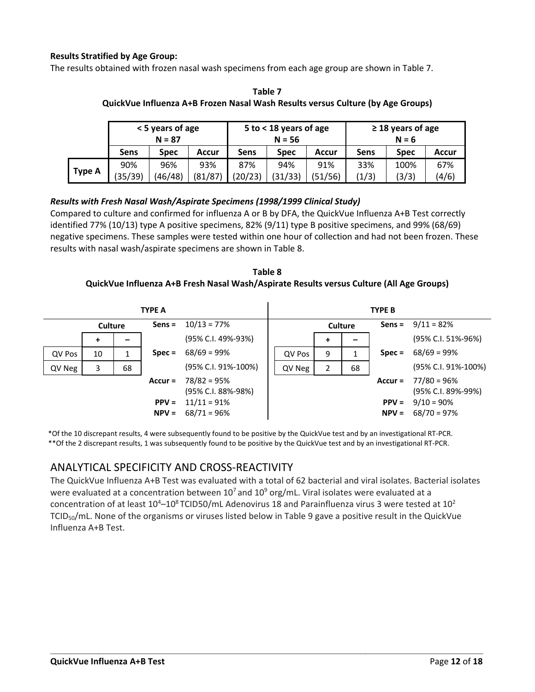#### **Results Stratified by Age Group:**

The results obtained with frozen nasal wash specimens from each age group are shown in Table 7.

|               | < 5 years of age<br>$N = 87$ |         |         |         | 5 to < 18 years of age<br>$N = 56$ |         | $\geq$ 18 years of age<br>$N = 6$ |       |       |  |
|---------------|------------------------------|---------|---------|---------|------------------------------------|---------|-----------------------------------|-------|-------|--|
|               | Sens                         | Spec    | Accur   | Sens    | <b>Spec</b>                        | Accur   | Sens                              | Spec  | Accur |  |
|               | 90%                          | 96%     | 93%     | 87%     | 94%                                | 91%     | 33%                               | 100%  | 67%   |  |
| <b>Type A</b> | (35/39)                      | (46/48) | (81/87) | (20/23) | (31/33)                            | (51/56) | (1/3)                             | (3/3) | (4/6) |  |

**Table 7 QuickVue Influenza A+B Frozen Nasal Wash Results versus Culture (by Age Groups)**

#### *Results with Fresh Nasal Wash/Aspirate Specimens (1998/1999 Clinical Study)*

Compared to culture and confirmed for influenza A or B by DFA, the QuickVue Influenza A+B Test correctly identified 77% (10/13) type A positive specimens, 82% (9/11) type B positive specimens, and 99% (68/69) negative specimens. These samples were tested within one hour of collection and had not been frozen. These results with nasal wash/aspirate specimens are shown in Table 8.

#### **Table 8 QuickVue Influenza A+B Fresh Nasal Wash/Aspirate Results versus Culture (All Age Groups)**

|                | <b>TYPE A</b> |          |                    |                                                      |                | <b>TYPE B</b> |   |          |                    |                                                      |
|----------------|---------------|----------|--------------------|------------------------------------------------------|----------------|---------------|---|----------|--------------------|------------------------------------------------------|
| <b>Culture</b> |               | $Sens =$ | $10/13 = 77%$      |                                                      | <b>Culture</b> |               |   | $Sens =$ | $9/11 = 82%$       |                                                      |
|                | +             |          |                    | (95% C.I. 49%-93%)                                   |                |               | + |          |                    | (95% C.I. 51%-96%)                                   |
| QV Pos         | 10            |          | $Spec =$           | $68/69 = 99%$                                        |                | QV Pos        | 9 |          | $Spec =$           | $68/69 = 99%$                                        |
| QV Neg         | 3             | 68       |                    | (95% C.I. 91%-100%)                                  |                | QV Neg        | 2 | 68       |                    | (95% C.I. 91%-100%)                                  |
|                |               |          | $Accur =$          | $78/82 = 95%$                                        |                |               |   |          | Accur $=$          | 77/80 = 96%                                          |
|                |               |          | $PPV =$<br>$NPV =$ | (95% C.I. 88%-98%)<br>$11/11 = 91%$<br>$68/71 = 96%$ |                |               |   |          | $PPV =$<br>$NPV =$ | (95% C.I. 89%-99%)<br>$9/10 = 90\%$<br>$68/70 = 97%$ |

\*Of the 10 discrepant results, 4 were subsequently found to be positive by the QuickVue test and by an investigational RT-PCR. \*\*Of the 2 discrepant results, 1 was subsequently found to be positive by the QuickVue test and by an investigational RT-PCR.

#### ANALYTICAL SPECIFICITY AND CROSS-REACTIVITY

The QuickVue Influenza A+B Test was evaluated with a total of 62 bacterial and viral isolates. Bacterial isolates were evaluated at a concentration between  $10^7$  and  $10^9$  org/mL. Viral isolates were evaluated at a concentration of at least  $10^4 - 10^8$  TCID50/mL Adenovirus 18 and Parainfluenza virus 3 were tested at  $10^2$ TCID50/mL. None of the organisms or viruses listed below in Table 9 gave a positive result in the QuickVue Influenza A+B Test.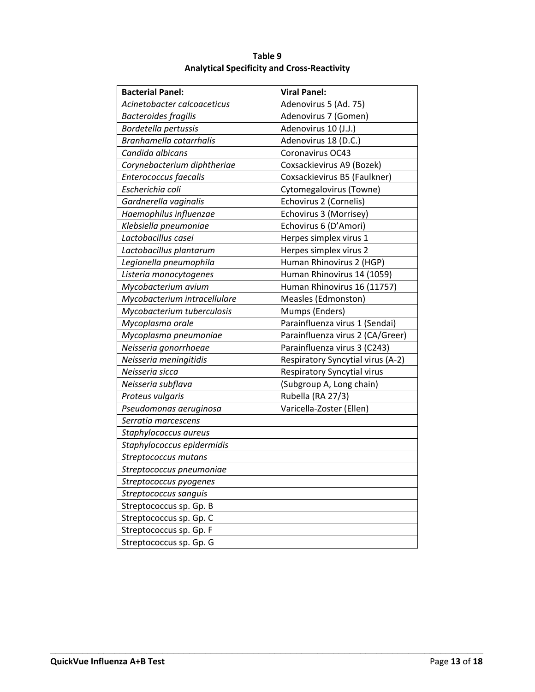| <b>Bacterial Panel:</b>      | <b>Viral Panel:</b>                |
|------------------------------|------------------------------------|
| Acinetobacter calcoaceticus  | Adenovirus 5 (Ad. 75)              |
| <b>Bacteroides fragilis</b>  | Adenovirus 7 (Gomen)               |
| Bordetella pertussis         | Adenovirus 10 (J.J.)               |
| Branhamella catarrhalis      | Adenovirus 18 (D.C.)               |
| Candida albicans             | Coronavirus OC43                   |
| Corynebacterium diphtheriae  | Coxsackievirus A9 (Bozek)          |
| Enterococcus faecalis        | Coxsackievirus B5 (Faulkner)       |
| Escherichia coli             | Cytomegalovirus (Towne)            |
| Gardnerella vaginalis        | Echovirus 2 (Cornelis)             |
| Haemophilus influenzae       | Echovirus 3 (Morrisey)             |
| Klebsiella pneumoniae        | Echovirus 6 (D'Amori)              |
| Lactobacillus casei          | Herpes simplex virus 1             |
| Lactobacillus plantarum      | Herpes simplex virus 2             |
| Legionella pneumophila       | Human Rhinovirus 2 (HGP)           |
| Listeria monocytogenes       | Human Rhinovirus 14 (1059)         |
| Mycobacterium avium          | Human Rhinovirus 16 (11757)        |
| Mycobacterium intracellulare | Measles (Edmonston)                |
| Mycobacterium tuberculosis   | Mumps (Enders)                     |
| Mycoplasma orale             | Parainfluenza virus 1 (Sendai)     |
| Mycoplasma pneumoniae        | Parainfluenza virus 2 (CA/Greer)   |
| Neisseria gonorrhoeae        | Parainfluenza virus 3 (C243)       |
| Neisseria meningitidis       | Respiratory Syncytial virus (A-2)  |
| Neisseria sicca              | <b>Respiratory Syncytial virus</b> |
| Neisseria subflava           | (Subgroup A, Long chain)           |
| Proteus vulgaris             | Rubella (RA 27/3)                  |
| Pseudomonas aeruginosa       | Varicella-Zoster (Ellen)           |
| Serratia marcescens          |                                    |
| Staphylococcus aureus        |                                    |
| Staphylococcus epidermidis   |                                    |
| Streptococcus mutans         |                                    |
| Streptococcus pneumoniae     |                                    |
| Streptococcus pyogenes       |                                    |
| Streptococcus sanguis        |                                    |
| Streptococcus sp. Gp. B      |                                    |
| Streptococcus sp. Gp. C      |                                    |
| Streptococcus sp. Gp. F      |                                    |
| Streptococcus sp. Gp. G      |                                    |

**Table 9 Analytical Specificity and Cross-Reactivity**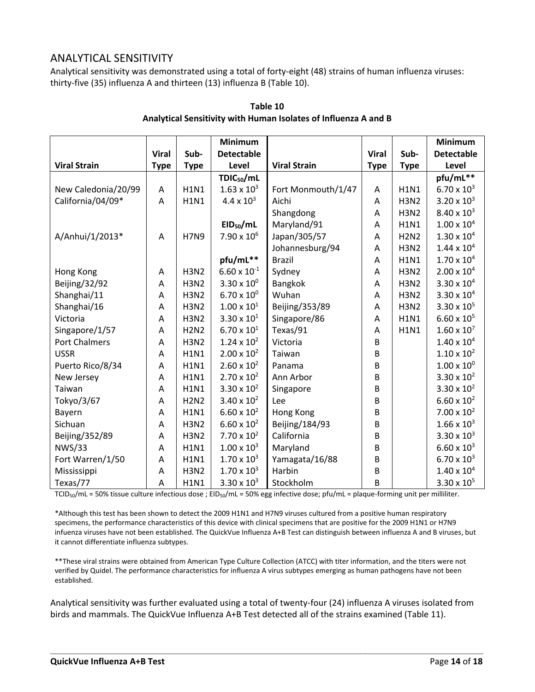#### ANALYTICAL SENSITIVITY

Analytical sensitivity was demonstrated using a total of forty-eight (48) strains of human influenza viruses: thirty-five (35) influenza A and thirteen (13) influenza B (Table 10).

|                      |              |             | <b>Minimum</b>        |                     |              |             | <b>Minimum</b>       |
|----------------------|--------------|-------------|-----------------------|---------------------|--------------|-------------|----------------------|
|                      | <b>Viral</b> | Sub-        | <b>Detectable</b>     |                     | <b>Viral</b> | Sub-        | <b>Detectable</b>    |
| <b>Viral Strain</b>  | <b>Type</b>  | <b>Type</b> | Level                 | <b>Viral Strain</b> | <b>Type</b>  | <b>Type</b> | Level                |
|                      |              |             | $TDIC_{50}/mL$        |                     |              |             | pfu/mL**             |
| New Caledonia/20/99  | A            | <b>H1N1</b> | $1.63 \times 10^{3}$  | Fort Monmouth/1/47  | Α            | <b>H1N1</b> | $6.70 \times 10^{3}$ |
| California/04/09*    | A            | <b>H1N1</b> | $4.4 \times 10^{3}$   | Aichi               | A            | <b>H3N2</b> | $3.20 \times 10^{3}$ |
|                      |              |             |                       | Shangdong           | Α            | <b>H3N2</b> | $8.40 \times 10^{3}$ |
|                      |              |             | EID <sub>50</sub> /mL | Maryland/91         | A            | <b>H1N1</b> | $1.00 \times 10^{4}$ |
| A/Anhui/1/2013*      | A            | <b>H7N9</b> | $7.90 \times 10^{6}$  | Japan/305/57        | A            | <b>H2N2</b> | $1.30 \times 10^{4}$ |
|                      |              |             |                       | Johannesburg/94     | Α            | <b>H3N2</b> | $1.44 \times 10^{4}$ |
|                      |              |             | pfu/mL**              | <b>Brazil</b>       | A            | <b>H1N1</b> | $1.70 \times 10^{4}$ |
| Hong Kong            | A            | <b>H3N2</b> | $6.60 \times 10^{-1}$ | Sydney              | A            | <b>H3N2</b> | $2.00 \times 10^{4}$ |
| Beijing/32/92        | Α            | <b>H3N2</b> | $3.30 \times 10^{0}$  | Bangkok             | A            | <b>H3N2</b> | $3.30 \times 10^{4}$ |
| Shanghai/11          | Α            | <b>H3N2</b> | $6.70 \times 10^{0}$  | Wuhan               | A            | <b>H3N2</b> | $3.30 \times 10^{4}$ |
| Shanghai/16          | A            | <b>H3N2</b> | $1.00 \times 10^{1}$  | Beijing/353/89      | A            | <b>H3N2</b> | $3.30 \times 10^{5}$ |
| Victoria             | A            | <b>H3N2</b> | $3.30 \times 10^{1}$  | Singapore/86        | Α            | <b>H1N1</b> | $6.60 \times 10^{5}$ |
| Singapore/1/57       | Α            | <b>H2N2</b> | $6.70 \times 10^{1}$  | Texas/91            | Α            | <b>H1N1</b> | $1.60 \times 10^{7}$ |
| <b>Port Chalmers</b> | A            | <b>H3N2</b> | $1.24 \times 10^{2}$  | Victoria            | B            |             | $1.40 \times 10^{4}$ |
| <b>USSR</b>          | A            | <b>H1N1</b> | $2.00 \times 10^{2}$  | Taiwan              | B            |             | $1.10 \times 10^{2}$ |
| Puerto Rico/8/34     | Α            | <b>H1N1</b> | $2.60 \times 10^{2}$  | Panama              | B            |             | $1.00 \times 10^{0}$ |
| New Jersey           | A            | <b>H1N1</b> | $2.70 \times 10^{2}$  | Ann Arbor           | B            |             | $3.30 \times 10^{2}$ |
| Taiwan               | Α            | <b>H1N1</b> | $3.30 \times 10^{2}$  | Singapore           | B            |             | $3.30 \times 10^{2}$ |
| Tokyo/3/67           | Α            | <b>H2N2</b> | $3.40 \times 10^{2}$  | Lee                 | B            |             | $6.60 \times 10^{2}$ |
| Bayern               | Α            | <b>H1N1</b> | $6.60 \times 10^{2}$  | Hong Kong           | B            |             | $7.00 \times 10^{2}$ |
| Sichuan              | A            | <b>H3N2</b> | $6.60 \times 10^{2}$  | Beijing/184/93      | B            |             | $1.66 \times 10^{3}$ |
| Beijing/352/89       | Α            | <b>H3N2</b> | $7.70 \times 10^{2}$  | California          | B            |             | $3.30 \times 10^{3}$ |
| <b>NWS/33</b>        | A            | <b>H1N1</b> | $1.00 \times 10^{3}$  | Maryland            | B            |             | $6.60 \times 10^{3}$ |
| Fort Warren/1/50     | Α            | <b>H1N1</b> | $1.70 \times 10^{3}$  | Yamagata/16/88      | B            |             | $6.70 \times 10^{3}$ |
| Mississippi          | A            | <b>H3N2</b> | $1.70 \times 10^{3}$  | Harbin              | B            |             | $1.40 \times 10^{4}$ |
| Texas/77             | A            | <b>H1N1</b> | $3.30 \times 10^{3}$  | Stockholm           | B            |             | $3.30 \times 10^{5}$ |

#### **Table 10 Analytical Sensitivity with Human Isolates of Influenza A and B**

TCID<sub>50</sub>/mL = 50% tissue culture infectious dose ; EID<sub>50</sub>/mL = 50% egg infective dose; pfu/mL = plaque-forming unit per milliliter.

\*Although this test has been shown to detect the 2009 H1N1 and H7N9 viruses cultured from a positive human respiratory specimens, the performance characteristics of this device with clinical specimens that are positive for the 2009 H1N1 or H7N9 infuenza viruses have not been established. The QuickVue Influenza A+B Test can distinguish between influenza A and B viruses, but it cannot differentiate influenza subtypes.

\*\*These viral strains were obtained from American Type Culture Collection (ATCC) with titer information, and the titers were not verified by Quidel. The performance characteristics for influenza A virus subtypes emerging as human pathogens have not been established.

Analytical sensitivity was further evaluated using a total of twenty-four (24) influenza A viruses isolated from birds and mammals. The QuickVue Influenza A+B Test detected all of the strains examined (Table 11).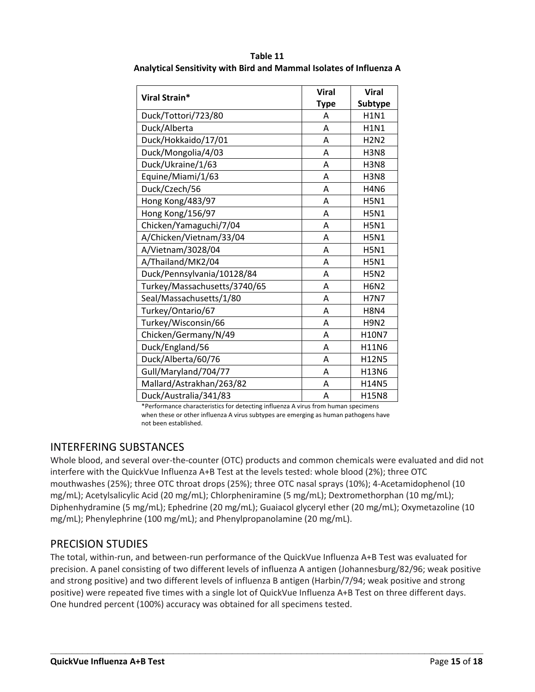|                              | <b>Viral</b> | <b>Viral</b>   |
|------------------------------|--------------|----------------|
| Viral Strain*                | <b>Type</b>  | <b>Subtype</b> |
| Duck/Tottori/723/80          | A            | <b>H1N1</b>    |
| Duck/Alberta                 | A            | <b>H1N1</b>    |
| Duck/Hokkaido/17/01          | Α            | <b>H2N2</b>    |
| Duck/Mongolia/4/03           | Α            | <b>H3N8</b>    |
| Duck/Ukraine/1/63            | Α            | <b>H3N8</b>    |
| Equine/Miami/1/63            | Α            | <b>H3N8</b>    |
| Duck/Czech/56                | A            | <b>H4N6</b>    |
| Hong Kong/483/97             | Α            | <b>H5N1</b>    |
| Hong Kong/156/97             | Α            | <b>H5N1</b>    |
| Chicken/Yamaguchi/7/04       | Α            | <b>H5N1</b>    |
| A/Chicken/Vietnam/33/04      | Α            | <b>H5N1</b>    |
| A/Vietnam/3028/04            | Α            | <b>H5N1</b>    |
| A/Thailand/MK2/04            | Α            | <b>H5N1</b>    |
| Duck/Pennsylvania/10128/84   | A            | <b>H5N2</b>    |
| Turkey/Massachusetts/3740/65 | Α            | <b>H6N2</b>    |
| Seal/Massachusetts/1/80      | A            | <b>H7N7</b>    |
| Turkey/Ontario/67            | Α            | <b>H8N4</b>    |
| Turkey/Wisconsin/66          | Α            | <b>H9N2</b>    |
| Chicken/Germany/N/49         | A            | H10N7          |
| Duck/England/56              | Α            | H11N6          |
| Duck/Alberta/60/76           | A            | H12N5          |
| Gull/Maryland/704/77         | Α            | H13N6          |
| Mallard/Astrakhan/263/82     | A            | H14N5          |
| Duck/Australia/341/83        | Α            | <b>H15N8</b>   |

**Table 11 Analytical Sensitivity with Bird and Mammal Isolates of Influenza A**

\*Performance characteristics for detecting influenza A virus from human specimens when these or other influenza A virus subtypes are emerging as human pathogens have not been established.

#### INTERFERING SUBSTANCES

Whole blood, and several over-the-counter (OTC) products and common chemicals were evaluated and did not interfere with the QuickVue Influenza A+B Test at the levels tested: whole blood (2%); three OTC mouthwashes (25%); three OTC throat drops (25%); three OTC nasal sprays (10%); 4-Acetamidophenol (10 mg/mL); Acetylsalicylic Acid (20 mg/mL); Chlorpheniramine (5 mg/mL); Dextromethorphan (10 mg/mL); Diphenhydramine (5 mg/mL); Ephedrine (20 mg/mL); Guaiacol glyceryl ether (20 mg/mL); Oxymetazoline (10 mg/mL); Phenylephrine (100 mg/mL); and Phenylpropanolamine (20 mg/mL).

#### PRECISION STUDIES

The total, within-run, and between-run performance of the QuickVue Influenza A+B Test was evaluated for precision. A panel consisting of two different levels of influenza A antigen (Johannesburg/82/96; weak positive and strong positive) and two different levels of influenza B antigen (Harbin/7/94; weak positive and strong positive) were repeated five times with a single lot of QuickVue Influenza A+B Test on three different days. One hundred percent (100%) accuracy was obtained for all specimens tested.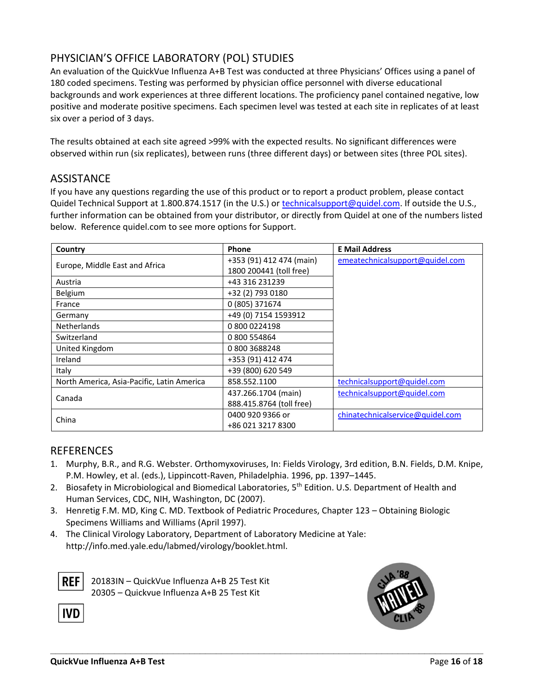#### PHYSICIAN'S OFFICE LABORATORY (POL) STUDIES

An evaluation of the QuickVue Influenza A+B Test was conducted at three Physicians' Offices using a panel of 180 coded specimens. Testing was performed by physician office personnel with diverse educational backgrounds and work experiences at three different locations. The proficiency panel contained negative, low positive and moderate positive specimens. Each specimen level was tested at each site in replicates of at least six over a period of 3 days.

The results obtained at each site agreed >99% with the expected results. No significant differences were observed within run (six replicates), between runs (three different days) or between sites (three POL sites).

#### **ASSISTANCE**

If you have any questions regarding the use of this product or to report a product problem, please contact Quidel Technical Support at 1.800.874.1517 (in the U.S.) or [technicalsupport@quidel.com.](mailto:technicalsupport@quidel.com) If outside the U.S., further information can be obtained from your distributor, or directly from Quidel at one of the numbers listed below. Reference quidel.com to see more options for Support.

| Country                                    | Phone                    | <b>E Mail Address</b>            |
|--------------------------------------------|--------------------------|----------------------------------|
| Europe, Middle East and Africa             | +353 (91) 412 474 (main) | emeatechnicalsupport@quidel.com  |
|                                            | 1800 200441 (toll free)  |                                  |
| Austria                                    | +43 316 231239           |                                  |
| Belgium                                    | +32 (2) 793 0180         |                                  |
| France                                     | 0 (805) 371674           |                                  |
| Germany                                    | +49 (0) 7154 1593912     |                                  |
| <b>Netherlands</b>                         | 08000224198              |                                  |
| Switzerland                                | 0 800 554864             |                                  |
| United Kingdom                             | 08003688248              |                                  |
| Ireland                                    | +353 (91) 412 474        |                                  |
| Italy                                      | +39 (800) 620 549        |                                  |
| North America, Asia-Pacific, Latin America | 858.552.1100             | technicalsupport@quidel.com      |
| Canada                                     | 437.266.1704 (main)      | technicalsupport@quidel.com      |
|                                            | 888.415.8764 (toll free) |                                  |
| China                                      | 0400 920 9366 or         | chinatechnicalservice@quidel.com |
|                                            | +86 021 3217 8300        |                                  |

#### **REFERENCES**

1. Murphy, B.R., and R.G. Webster. Orthomyxoviruses, In: Fields Virology, 3rd edition, B.N. Fields, D.M. Knipe, P.M. Howley, et al. (eds.), Lippincott-Raven, Philadelphia. 1996, pp. 1397–1445.

**\_\_\_\_\_\_\_\_\_\_\_\_\_\_\_\_\_\_\_\_\_\_\_\_\_\_\_\_\_\_\_\_\_\_\_\_\_\_\_\_\_\_\_\_\_\_\_\_\_\_\_\_\_\_\_\_\_\_\_\_\_\_\_\_\_\_\_\_\_\_\_\_\_\_\_\_\_\_\_\_\_**

- 2. Biosafety in Microbiological and Biomedical Laboratories, 5<sup>th</sup> Edition. U.S. Department of Health and Human Services, CDC, NIH, Washington, DC (2007).
- 3. Henretig F.M. MD, King C. MD. Textbook of Pediatric Procedures, Chapter 123 Obtaining Biologic Specimens Williams and Williams (April 1997).
- 4. The Clinical Virology Laboratory, Department of Laboratory Medicine at Yale: [http://info.med.yale.edu/labmed/virology/booklet.html.](http://info.med.yale.edu/labmed/virology/booklet.html)



IVD

20183IN – QuickVue Influenza A+B 25 Test Kit 20305 – Quickvue Influenza A+B 25 Test Kit

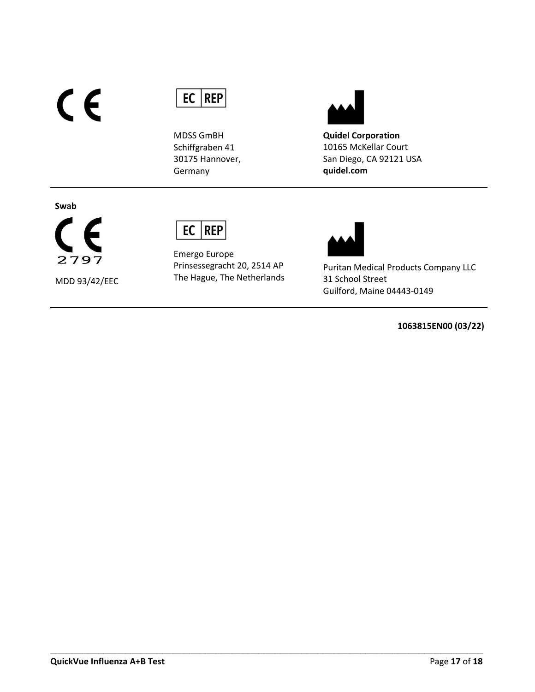# $C<sub>f</sub>$



MDSS GmBH Schiffgraben 41 30175 Hannover, Germany



**Quidel Corporation** 10165 McKellar Court San Diego, CA 92121 USA **quidel.com**

#### **Swab**



MDD 93/42/EEC

### $EC$  REP

Emergo Europe Prinsessegracht 20, 2514 AP The Hague, The Netherlands

**\_\_\_\_\_\_\_\_\_\_\_\_\_\_\_\_\_\_\_\_\_\_\_\_\_\_\_\_\_\_\_\_\_\_\_\_\_\_\_\_\_\_\_\_\_\_\_\_\_\_\_\_\_\_\_\_\_\_\_\_\_\_\_\_\_\_\_\_\_\_\_\_\_\_\_\_\_\_\_\_\_**



Puritan Medical Products Company LLC 31 School Street Guilford, Maine 04443-0149

**1063815EN00 (03/22)**